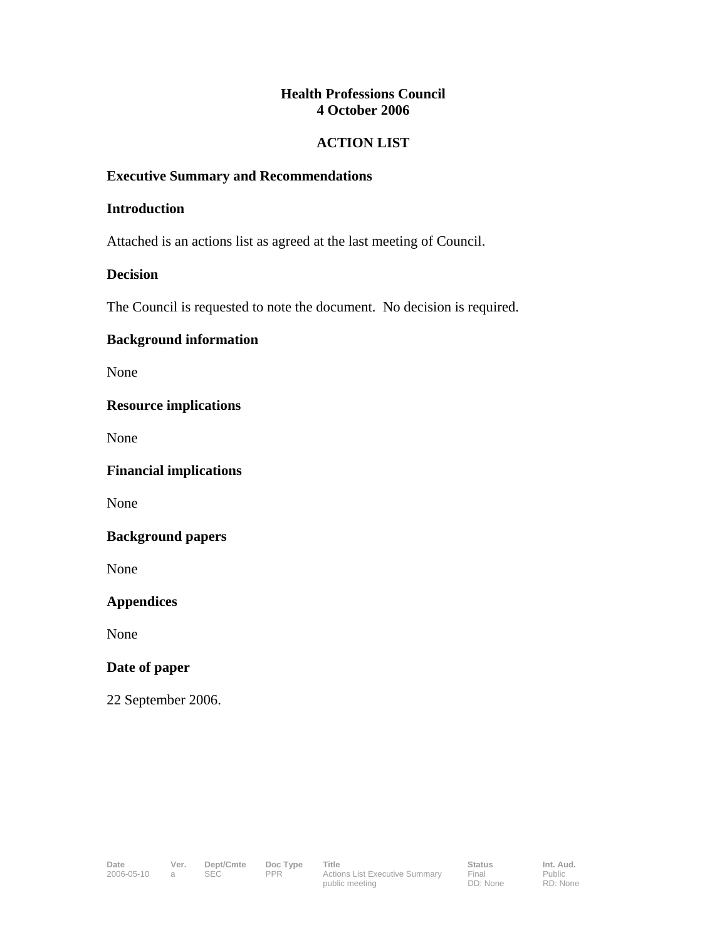# **Health Professions Council 4 October 2006**

# **ACTION LIST**

#### **Executive Summary and Recommendations**

#### **Introduction**

Attached is an actions list as agreed at the last meeting of Council.

## **Decision**

The Council is requested to note the document. No decision is required.

## **Background information**

None

## **Resource implications**

None

**Financial implications** 

None

#### **Background papers**

None

**Appendices** 

None

## **Date of paper**

22 September 2006.

Public RD: None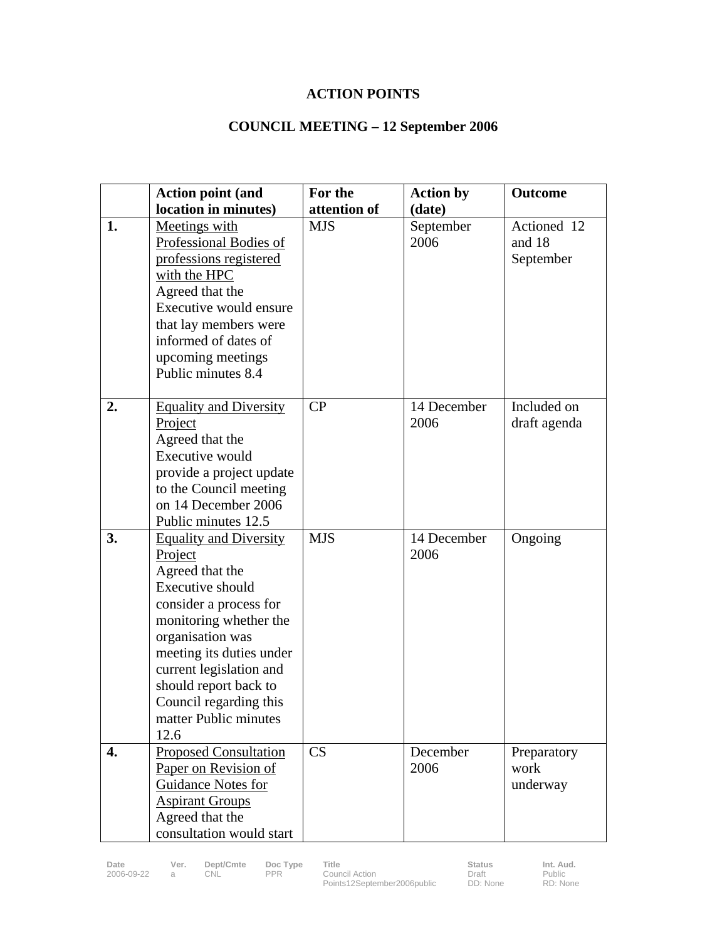# **ACTION POINTS**

# **COUNCIL MEETING – 12 September 2006**

|    | <b>Action point (and</b>                                                                                                                                                                                                                                                                           | For the      | <b>Action by</b>    | Outcome                            |
|----|----------------------------------------------------------------------------------------------------------------------------------------------------------------------------------------------------------------------------------------------------------------------------------------------------|--------------|---------------------|------------------------------------|
|    | location in minutes)                                                                                                                                                                                                                                                                               | attention of | (date)              |                                    |
| 1. | Meetings with<br>Professional Bodies of<br>professions registered<br>with the HPC<br>Agreed that the<br>Executive would ensure<br>that lay members were<br>informed of dates of<br>upcoming meetings<br>Public minutes 8.4                                                                         | <b>MJS</b>   | September<br>2006   | Actioned 12<br>and 18<br>September |
| 2. | <b>Equality and Diversity</b><br>Project<br>Agreed that the<br>Executive would<br>provide a project update<br>to the Council meeting<br>on 14 December 2006<br>Public minutes 12.5                                                                                                                 | CP           | 14 December<br>2006 | Included on<br>draft agenda        |
| 3. | <b>Equality and Diversity</b><br>Project<br>Agreed that the<br>Executive should<br>consider a process for<br>monitoring whether the<br>organisation was<br>meeting its duties under<br>current legislation and<br>should report back to<br>Council regarding this<br>matter Public minutes<br>12.6 | <b>MJS</b>   | 14 December<br>2006 | Ongoing                            |
| 4. | <b>Proposed Consultation</b><br>Paper on Revision of<br>Guidance Notes for<br><b>Aspirant Groups</b><br>Agreed that the<br>consultation would start                                                                                                                                                | CS           | December<br>2006    | Preparatory<br>work<br>underway    |

2006-09-22 a CNL PPR Council Action

Public RD: None